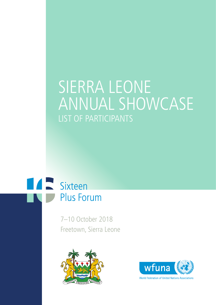# SIERRA LEONE ANNUAL SHOWCASE LIST OF PARTICIPANTS



7–10 October 2018 Freetown, Sierra Leone





**World Federation of United Nations Associations**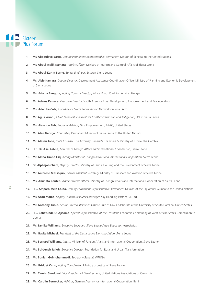- **1. Mr. Abdoulaye Barro,** Deputy Permanent Representative, Permanent Mission of Senegal to the United Nations
- 2. Mr. Abdul Malik Kamara, Tourist Officer, Ministry of Tourism and Cultural Affairs of Sierra Leone
- **3. Mr. Abdul-Karim Barrie**, Senior Engineer, Entergy, Sierra Leone
- 4. Ms. Abie Kamara, Deputy Director, Development Assistance Coordination Office, Ministry of Planning and Economic Development of Sierra Leone
- **5. Ms. Adama Bangura**, Acting Country Director, Africa Youth Coalition Against Hunger
- **6. Mr. Adams Kamara**, Executive Director, Youth Arise for Rural Development, Empowerment and Peacebuilding
- **7. Ms. Adenike Cole**, Coordinator, Sierra Leone Action Network on Small Arms
- 8. Mr. Agus Wandi, Chief Technical Specialist for Conflict Prevention and Mitigation, UNDP Sierra Leone
- **9. Ms. Aissatou Bah**, Regional Advisor, Girls Empowerment, BRAC, United States
- **10. Mr. Alan George**, Counsellor, Permanent Mission of Sierra Leone to the United Nations
- **11. Mr. Alasan Jobe**, State Counsel, The Attorney General's Chambers & Ministry of Justice, the Gambia
- **12. H.E. Dr. Alie Kabba**, Minister of Foreign Affairs and International Cooperation, Sierra Leone
- **13. Mr. Alpha Timbo Esq**, Acting Minister of Foreign Affairs and International Cooperation, Sierra Leone
- **14. Dr. Alphajoh Cham**, Deputy Director, Ministry of Lands, Housing and the Environment of Sierra Leone
- **15. Mr. Ambrose Massaquoi**, Senior Assistant Secretary, Ministry of Transport and Aviation of Sierra Leone
- **16. Ms. Aminata Conteh**, Administrative Officer, Ministry of Foreign Affairs and International Cooperation of Sierra Leone
- **17. H.E. Amparo Mele Colifa,** Deputy Permanent Representative, Permanent Mission of the Equatorial Guinea to the United Nations
- **18. Mr. Ansu Moiba**, Deputy Human Resources Manager, Sky Handling Partner (SL) Ltd
- 19. Mr. Anthony Triolo, Senior External Relations Officer, Rule of Law Collaborate at the University of South Carolina, United States
- **20. H.E. Babatunde O. Ajisomo**, Special Representative of the President, Economic Community of West African States Commission to Liberia
- **21. Ms.Bamike Williams**, Executive Secretary, Sierra Leone Adult Education Association
- **22. Ms. Basita Michael,** President of the Sierra Leone Bar Association, Sierra Leone
- **23. Mr. Bernard Williams**, Intern, Ministry of Foreign Affairs and International Cooperation, Sierra Leone
- **24. Mr. Boi-Jeneh Jalloh**, Executive Director, Foundation for Rural and Urban Transformation
- **25. Mr. Bonian Golmohammadi**, Secretary-General, WFUNA
- **26. Ms. Bridget Osho**, Acting Coordinator, Ministry of Justice of Sierra Leone
- 27. Mr. Camilo Sandoval, Vice President of Development, United Nations Associations of Colombia
- **28. Ms. Carolin Bernecker**, Advisor, German Agency for International Cooperation, Benin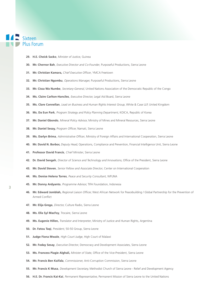- **29. H.E. Cheick Sacko**, Minister of Justice, Guinea
- **30. Mr. Chernor Bah**, Executive Director and Co-Founder, Purposeful Productions, Sierra Leone
- **31. Mr. Christian Kamara,** Chief Executive Officer, YMCA Freetown
- **32. Mr. Christian Ngombu**, Operations Manager, Purposeful Productions, Sierra Leone
- **33. Mr. Cissa Wa Numbe**, Secretary-General, United Nations Association of the Democratic Republic of the Congo
- **34. Ms. Claire Carlton-Hanciles**, Executive Director, Legal Aid Board, Sierra Leone
- **35. Ms. Clare Connellan**, Lead on Business and Human Rights Interest Group, White & Case LLP, United Kingdom
- **36. Ms. Da Eun Park**, Program Strategy and Policy Planning Department, KOICA, Republic of Korea
- **37. Mr. Daniel Gbondo**, Mineral Policy Advisor, Ministry of Mines and Mineral Resources, Sierra Leone
- 38. Mr. Daniel Sesay, Program Officer, Namati, Sierra Leone
- **39. Ms. Darlyn Brima**, Administrative Officer, Ministry of Foreign Affairs and International Cooperation, Sierra Leone
- **40. Mr. David N. Borbor,** Deputy Head, Operations, Compliance and Prevention, Financial Intelligence Unit, Sierra Leone
- **41. Professor David Francis**, Chief Minister, Sierra Leone
- **42. Dr. David Sengeh**, Director of Science and Technology and Innovations, Office of the President, Sierra Leone
- **43. Mr. David Steven**, Senior Fellow and Associate Director, Center on International Cooperation
- **44. Ms. Denise Helena Torres**, Peace and Security Consultant, WFUNA
- **45. Mr. Donny Ardyanto**, Programme Advisor, TIFA Foundation, Indonesia
- 46. Mr. Edward Jomblah, Regional Liaison Officer, West African Network for Peacebuilding / Global Partnership for the Prevention of Armed Conflict
- **47. Mr. Elija Grega**, Director, Culture Radio, Sierra Leone
- **48. Ms. Ella Syl MacFoy**, Trocaire, Sierra Leone
- **49. Ms. Eugenie Hillen,** Translator and Interpreter, Ministry of Justice and Human Rights, Argentina
- **50. Dr. Fatou Taqi**, President, 50-50 Group, Sierra Leone
- **51. Judge Fiona Mwale**, High Court Judge, High Court of Malawi
- **52. Mr. Foday Sesay**, Executive Director, Democracy and Development Associates, Sierra Leone
- 53. Ms. Francess Piagie Alghali, Minister of State, Office of the Vice-President, Sierra Leone
- **54. Mr. Francis Ben Kaifala**, Commissioner, Anti-Corruption Commission, Sierra Leone
- **55. Mr. Francis K Musa**, Development Secretary, Methodist Church of Sierra Leone Relief and Development Agency
- **56. H.E. Dr. Francis Kai-Kai**, Permanent Representative, Permanent Mission of Sierra Leone to the United Nations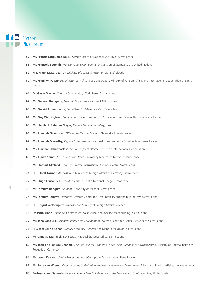- **57. Mr. Francis Langumba Keili**, Director, Office of National Security of Sierra Leone
- **58. Mr. François Soumah**, Minister Counsellor, Permanent Mission of Guinea to the United Nations
- **59. H.E. Frank Musa Dean Jr**, Minister of Justice & Attorney-General, Liberia
- **60. Mr. Franklyn Fawundu**, Director of Multilateral Cooperation, Ministry of Foreign Affairs and International Cooperation of Sierra Leone
- **61. Dr. Gayle Martin**, Country Coordinator, World Bank, Sierra Leone
- **62. Mr. Gedeon Behiguim**, Head of Governance Cluster, UNDP Guinea
- **63. Mr. Guleid Ahmed Jama**, Somaliland SDG16+ Coalition, Somaliland
- 64. Mr. Guy Warrington, High Commissioner Freetown, U.K. Foreign Commonwealth Office, Sierra Leone
- **65. Mr. Habib Ur Rehman Mayar**, Deputy General Secretary, g7+
- **66. Ms. Hannah Gillen**, Field Officer, Sky Women's World Network of Sierra Leone
- **67. Ms. Hannah Macarthy,** Deputy Commissioner, National Commission for Social Action, Sierra Leone
- 68. Ms. Harshani Dharmadasa, Senior Program Officer, Center on International Cooperation
- 69. Ms. Hawa Samai, Chief Executive Officer, Advocacy Movement Network Sierra Leone
- **70. Mr. Herbert M'cleod**, Country Director, International Growth Centre, Sierra Leone
- **71. H.E. Horst Gruner**, Ambassador, Ministry of Foreign Affairs of Germany, Sierra Leone
- **72. Mr. Hugo Fernandes**, Executive Officer, Centro Nacional Chego, Timor-Leste
- **73. Mr. Ibrahim Bangura**, Student, University of Makeni, Sierra Leone
- 74. Mr. Ibrahim Tommy, Executive Director, Center for Accountability and the Rule of Law, Sierra Leone
- **75. H.E. Ingrid Wetterqvist**, Ambassador, Ministry of Foreign Affairs, Sweden
- **76. Dr. Isata Mahoi,** National Coordinator, West Africa Network for Peacebuilding, Sierra Leone
- **77. Ms. Isha Bangura**, Research, Policy and Development Director, Economic Justice Network of Sierra Leone
- **78. H.E. Jacqueline Konan**, Deputy Secretary-General, the Mano River Union, Sierra Leone
- 79. Ms. Janet D Mahayei, Statistician, National Statistics Office, Sierra Leone
- **80. Mr. Jean-Eric Fonkou Chanou**, Chief of Political, Economic, Social and Humanitarian Organization, Ministry of External Relations, Republic of Cameroon
- **81. Ms. Jeelo Kainwo,** Senior Prosecutor, Anti-Corruption Committee of Sierra Leone
- **82. Mr. Jelte van Wieren**, Director of the Stabilisation and Humanitarian Aid Department, Ministry of Foreign Affairs, the Netherlands
- **83. Professor Joel Samuels**, Director, Rule of Law Collaborative of the University of South Carolina, United States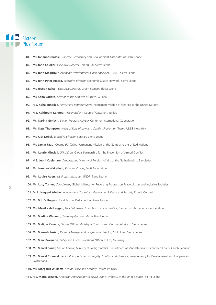- **84. Mr. Johannes Bassie**, Director, Democracy and Development Associates of Sierra Leone
- **85. Mr. John Caulker**, Executive Director, Fambul Tok Sierra Leone
- **86. Mr. John Magbity,** Sustainable Development Goals Specialist, USAID, Sierra Leone
- **87. Mr. John Peter Amara,** Executive Director, Economic Justice Network, Sierra Leone
- 88. Mr. Joseph Rahall, Executive Director, Green Scenery, Sierra Leone
- **89. Mr. Kaba Badere**, Advisor to the Minister of Jusice, Guinea
- **90. H.E. Kaha Imnadze**, Permanent Representative, Permanent Mission of Georgia to the United Nations
- 91. H.E. Kalthoum Kennou, Vice President, Court of Cassation, Tunisia
- **92. Ms. Karina Gerlach**, Senior Program Advisor, Center on International Cooperation
- 93. Ms. Katy Thompson, Head of Rule of Law and Conflict Prevention Teams, UNDP New York
- 94. Mr. Kief Kobai, Executive Director, Forward Sierra Leone
- **95. Mr. Lamin Faati,** Chargé d'Affaires, Permanent Mission of the Gambia to the United Nations
- 96. Ms. Laurie Mincieli, UN Liaison, Global Partnership for the Prevention of Armed Conflict
- 97. H.E. Leoni Cuelenare, Ambassador, Ministry of Foreign Affairs of the Netherlands to Bangladesh
- 98. Mr. Lorenzo Wakefield, Program Officer, Mott Foundation
- 99. Ms. Louise Aaen, INL Project Manager, UNDP, Sierra Leone
- **100. Ms. Lucy Turner**, Coordinator, Global Alliance for Reporting Progress on Peaceful, Just and Inclusive Societies
- **101. Dr. Lulsegged Abebe**, Independent Consultant Researcher & Peace and Security Expert, Cordaid
- **102. Mr. M.L.D. Rogers**, Focal Person, Parliament of Sierra Leone
- **103. Ms. Maaike de Langen**, Head of Research for Task Force on Justice, Center on International Cooperation
- **104. Mr. Madina Wenneh**, Secretary-General, Mano River Union
- **105. Mr. Maligie Kamara**, Tourist Officer, Ministry of Tourism and Cultural Affairs of Sierra Leone
- **106. Mr. Mannah Josiah,** Project Manager and Programme Director, Child Fund Sierra Leone
- **107. Mr. Marc Baxmann**, Policy and Communications Officer, FriEnt, Germany
- **108. Mr. Marcel Sauer,** Senior Advisor, Ministry of Foreign Affairs, Department of Multilateral and Economic Affairs, Czech Republic
- 109. Mr. Marcel Stoessel, Senior Policy Adviser on Fragility, Conflict and Violence, Swiss Agency for Development and Cooperation, Switzerland
- 110. Ms. Margaret Williams, Senior Peace and Security Officer, WFUNA
- **111. H.E. Maria Brewer,** American Ambassador to Sierra Leone, Embassy of the United States, Sierra Leone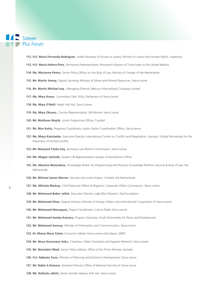## **TAN Sixteen Plus Forum**

6

**112. H.E. María Fernanda Rodríguez**, Under-Secretary of Access to Justice, Ministry of Justice and Human Rights, Argentina

- **113. H.E. Maria Helena Pires**, Permanent Representative, Permanent Mission of Timor-Leste to the United Nations
- 114. Ms. Marianne Peters, Senior Policy Officer on the Rule of Law, Ministry of Foreign of the Netherlands
- **115. Mr. Martin Jimmy,** Deputy Secretary, Ministry of Mines and Mineral Resources, Sierra Leone
- **116. Mr. Martin Michael esq.**, Managing Director, Mercury International Company Limited
- **117. Ms. Mary Kowa**, Committee Clerk SDGs, Parliament of Sierra Leone
- **118. Ms. Mary O'Neill**, Head, Irish Aid, Sierra Leone
- **119. Ms. Mary Okumu,** Country Representative, UN Women Sierra Leone
- 120. Mr. Matthew Wojcik, Junior Programme Officer, Cordaid
- 121. Mr. Max Katta, Programs Coordinator, Justice Sector Coordination Office, Sierra Leone
- 122. Ms. Maya Katsitadze, *Executive Director*, International Center on Conflict and Negotiation, Georgia / Global Partnership for the Prevention of Armed Conflict
- **123. Mr. Manyard Timbo Esq**, Secretary, Law Reform Commission, Sierra Leone
- **124. Ms. Megan Schmidt,** Quaker UN Representative, Quaker United Nations Office
- **125. Ms. Messina Manirakiza**, Knowledge Broker for Programming and Practice, Knowledge Platform Security & Rule of Law, the **Netherlands**
- **126. Mr. Michael James Warren**, Security and Justice Expert, Cordaid, the Netherlands
- 127. Ms. Michala Mackay, Chief Executive Officer & Registrar, Corporate Affairs Commission, Sierra Leone
- **128. Mr. Mohamed Bobor Jalloh**, Executive Director, Lady Ellen Women's Aid Foundation
- **129. Mr. Mohamed Khan,** Deputy Director, Ministry of Foreign Affairs and International Cooperation of Sierra Leone
- **130. Mr. Mohamed Massaquoi,** Project Coordinator, Culture Radio Sierra Leone
- **131. Mr. Mohamed Samba Kamara,** Program Associate, Youth Partnership for Peace and Development
- **132. Mr. Mohamed Swaray**, Minister of Information and Communication, Sierra Leone
- **133. Dr. Moses Muse Sichei,** Economic Adviser Sierra Leone and Liberia, UNDP
- **134. Mr. Musa Ansumana Soko**, Chairman, Water Sanitation and Hygiene Network, Sierra Leone
- 135. Mr. Mustakim Waid, Senior Policy Adviser, Office of the Prime Minister, Somalia
- **136. H.E. Nabeela Tunis**, Minister of Planning and Economic Development, Sierra Leone
- **137. Mr. Nabie A Kamara**, Assistant Director, Office of National Security of Sierra Leone
- 138. Ms. Nafisatu Jalloh, Senior Gender Advisor, Irish Aid, Sierra Leone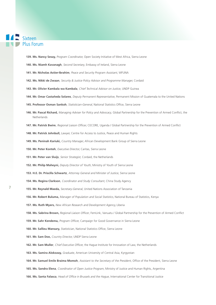**139. Ms. Nancy Sesay,** Program Coordinator, Open Society Initiative of West Africa, Sierra Leone

- **140. Ms. Niamh Kavanagh**, Second Secretary, Embassy of Ireland, Sierra Leone
- **141. Mr. Nicholas Astier-Ibrahim**, Peace and Security Program Assistant, WFUNA
- **142. Ms. Nikki de Zwaan**, Security & Justice Policy Advisor and Programme Manager, Cordaid
- **143. Mr. Olivier Kambala wa Kambala**, Chief Technical Advisor on Justice, UNDP Guinea
- **144. Mr. Omar Castañeda Solares**, Deputy Permanent Representative, Permanent Mission of Guatemala to the United Nations
- 145. Professor Osman Sankoh, Statistician-General, National Statistics Office, Sierra Leone
- 146. Mr. Pascal Richard, Managing Adviser for Policy and Advocacy, Global Partnership for the Prevention of Armed Conflict, the Netherlands
- 147. Mr. Patrick Bwire, Regional Liaison Officer, CECORE, Uganda / Global Partnership for the Prevention of Armed Conflict
- 148. Mr. Patrick Johnbull, *Lawyer*, Centre for Access to Justice, Peace and Human Rights
- **149. Ms. Peninah Kariuki,** Country Manager, African Development Bank Group of Sierra Leone
- **150. Mr. Peter Konteh**, Executive Director, Caritas, Sierra Leone
- **151. Mr. Peter van Sluijs**, Senior Strategist, Cordaid, the Netherlands
- **152. Mr. Philip Maheyni,** Deputy Director of Youth, Ministry of Youth of Sierra Leone
- **153. H.E. Dr. Priscilla Schwartz**, Attorney General and Minister of Justice, Sierra Leone
- **154. Ms. Regina Clarkson**, Coordinator and Study Consultant, China Study Agency
- **155. Mr. Reynald Maeda,** Secretary-General, United Nations Association of Tanzania
- **156. Mr. Robert Buluma,** Manager of Population and Social Statistics, National Bureau of Statistics, Kenya
- **157. Ms. Ruth Myers,** New African Research and Development Agency, Liberia
- 158. Ms. Sabrina Brown, Regional Liaison Officer, FemLink, Vanuatu / Global Partnership for the Prevention of Armed Conflict
- **159. Mr. Sahr Kendema,** Program Officer, Campaign for Good Governance in Sierra Leone
- **160. Mr. Sallieu Mansary,** Statistician, National Statistics Office, Sierra Leone
- **161. Mr. Sam Doe,** Country Director, UNDP Sierra Leone
- 162. Mr. Sam Muller, Chief Executive Officer, the Hague Institute for Innovation of Law, the Netherlands
- **163. Ms. Samira Alokozay,** Graduate, American University of Central Asia, Kyrgyzstan
- 164. Mr. Samuel Emile Braima Momoh, Assistant to the Secretary of the President, Office of the President, Sierra Leone
- **165. Ms. Sandra Elena**, Coordinator of Open Justice Program, Ministry of Justice and Human Rights, Argentina
- **166. Ms. Santa Falasca**, Head of Office in Brussels and the Hague, International Center for Transitional Justice